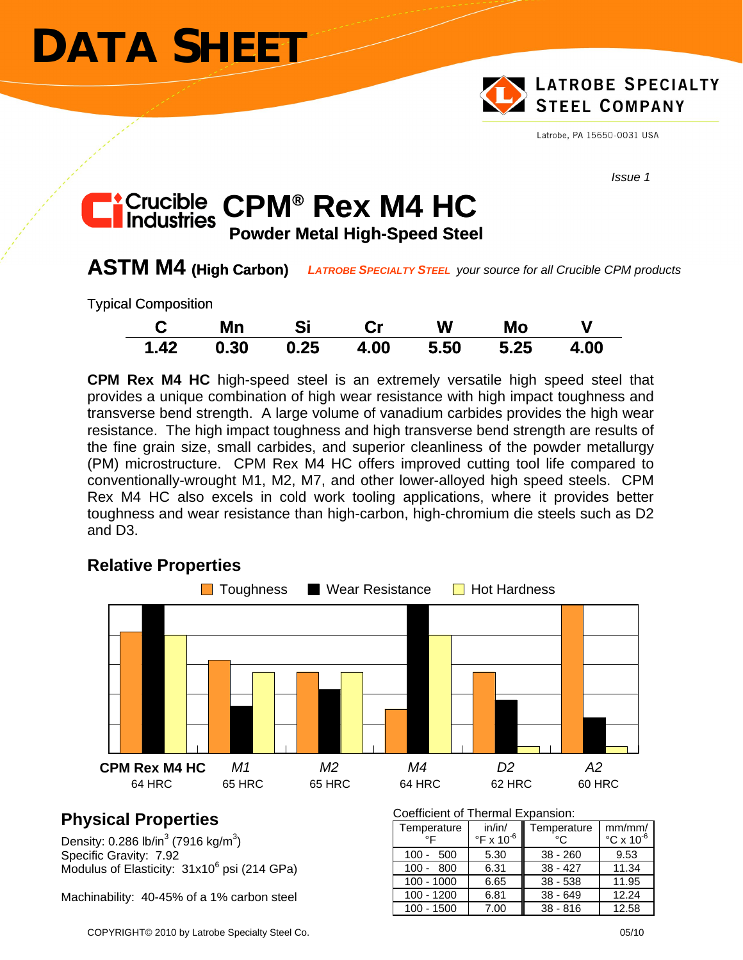# **DATA SHEET**



Latrobe, PA 15650-0031 USA

*Issue 1* 

### **C Powder Metal High-Speed Steel**  *r* Crucible CPM® Rex M4 HC

# **ASTM M4 (High Carbon)** *LATROBE SPECIALTY STEEL your source for all Crucible CPM products*

Typical Composition

| C    | Mn   | - Si |      | <b>W</b> | Mo   |      |
|------|------|------|------|----------|------|------|
| 1.42 | 0.30 | 0.25 | 4.00 | 5.50     | 5.25 | 4.00 |

**CPM Rex M4 HC** high-speed steel is an extremely versatile high speed steel that provides a unique combination of high wear resistance with high impact toughness and transverse bend strength. A large volume of vanadium carbides provides the high wear resistance. The high impact toughness and high transverse bend strength are results of the fine grain size, small carbides, and superior cleanliness of the powder metallurgy (PM) microstructure. CPM Rex M4 HC offers improved cutting tool life compared to conventionally-wrought M1, M2, M7, and other lower-alloyed high speed steels. CPM Rex M4 HC also excels in cold work tooling applications, where it provides better toughness and wear resistance than high-carbon, high-chromium die steels such as D2 and D3.

# **Relative Properties**



# **Physical Properties**

Density: 0.286 lb/in $3(7916 \text{ kg/m}^3)$ Specific Gravity: 7.92 Modulus of Elasticity:  $31x10^6$  psi (214 GPa)

Machinability: 40-45% of a 1% carbon steel

Coefficient of Thermal Expansion:

| Temperature<br>∘⊏ | in/in/<br>$\mathrm{P}$ F x 10 $\mathrm{O}$ | Temperature<br>°€ | mm/mm/<br>$\degree$ C x 10 $\degree$ |
|-------------------|--------------------------------------------|-------------------|--------------------------------------|
| $100 - 500$       | 5.30                                       | $38 - 260$        | 9.53                                 |
| $100 - 800$       | 6.31                                       | $38 - 427$        | 11.34                                |
| $100 - 1000$      | 6.65                                       | $38 - 538$        | 11.95                                |
| $100 - 1200$      | 6.81                                       | $38 - 649$        | 12.24                                |
| $100 - 1500$      | 7.00                                       | $38 - 816$        | 12.58                                |